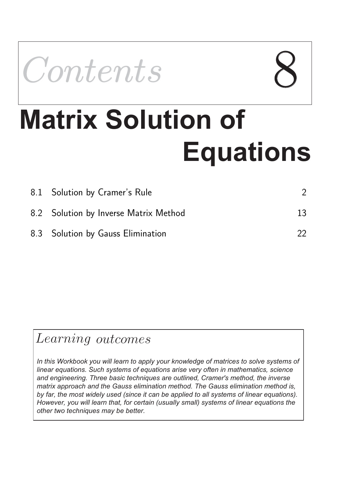

# **Matrix Solution of Equations**

| 8.1 Solution by Cramer's Rule         |    |
|---------------------------------------|----|
| 8.2 Solution by Inverse Matrix Method | 13 |
| 8.3 Solution by Gauss Elimination     | 22 |

# Learning outcomes

*In this Workbook you will learn to apply your knowledge of matrices to solve systems of linear equations. Such systems of equations arise very often in mathematics, science and engineering. Three basic techniques are outlined, Cramer's method, the inverse matrix approach and the Gauss elimination method. The Gauss elimination method is, by far, the most widely used (since it can be applied to all systems of linear equations). However, you will learn that, for certain (usually small) systems of linear equations the other two techniques may be better.*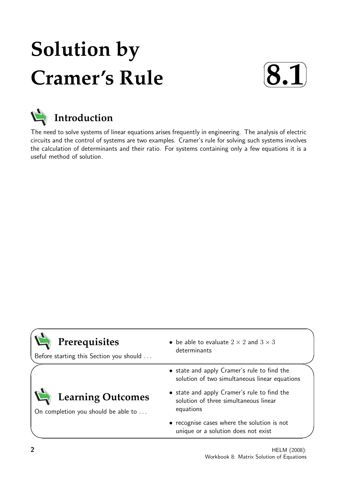# **Solution by Cramer's Rule**





The need to solve systems of linear equations arises frequently in engineering. The analysis of electric circuits and the control of systems are two examples. Cramer's rule for solving such systems involves the calculation of determinants and their ratio. For systems containing only a few equations it is a useful method of solution.

| Prerequisites<br>Before starting this Section you should        | • be able to evaluate $2 \times 2$ and $3 \times 3$<br>determinants                               |
|-----------------------------------------------------------------|---------------------------------------------------------------------------------------------------|
|                                                                 | • state and apply Cramer's rule to find the<br>solution of two simultaneous linear equations      |
| <b>Learning Outcomes</b><br>On completion you should be able to | • state and apply Cramer's rule to find the<br>solution of three simultaneous linear<br>equations |
|                                                                 | • recognise cases where the solution is not<br>unique or a solution does not exist                |

 $\overline{\phantom{0}}$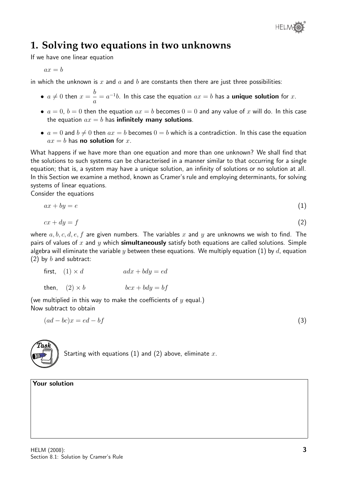

## **1. Solving two equations in two unknowns**

If we have one linear equation

$$
ax=b
$$

in which the unknown is x and a and b are constants then there are just three possibilities:

- $\bullet\ \ a\neq 0$  then  $x=\frac{b}{\cdot}$ a  $a = a^{-1}b$ . In this case the equation  $ax = b$  has a unique solution for  $x$ .
- $a = 0$ ,  $b = 0$  then the equation  $ax = b$  becomes  $0 = 0$  and any value of x will do. In this case the equation  $ax = b$  has infinitely many solutions.
- $a = 0$  and  $b \neq 0$  then  $ax = b$  becomes  $0 = b$  which is a contradiction. In this case the equation  $ax = b$  has **no solution** for x.

What happens if we have more than one equation and more than one unknown? We shall find that the solutions to such systems can be characterised in a manner similar to that occurring for a single equation; that is, a system may have a unique solution, an infinity of solutions or no solution at all. In this Section we examine a method, known as Cramer's rule and employing determinants, for solving systems of linear equations.

Consider the equations

$$
ax + by = e \tag{1}
$$

$$
cx + dy = f \tag{2}
$$

where  $a, b, c, d, e, f$  are given numbers. The variables x and y are unknowns we wish to find. The pairs of values of x and y which **simultaneously** satisfy both equations are called solutions. Simple algebra will eliminate the variable y between these equations. We multiply equation (1) by d, equation (2) by  $b$  and subtract:

first, 
$$
(1) \times d
$$
  $adx + bdy = ed$   
then,  $(2) \times b$   $bcx + bdy = bf$ 

(we multiplied in this way to make the coefficients of  $y$  equal.) Now subtract to obtain

 $(ad - bc)x = ed - bf$  (3)



Starting with equations (1) and (2) above, eliminate  $x$ .

#### Your solution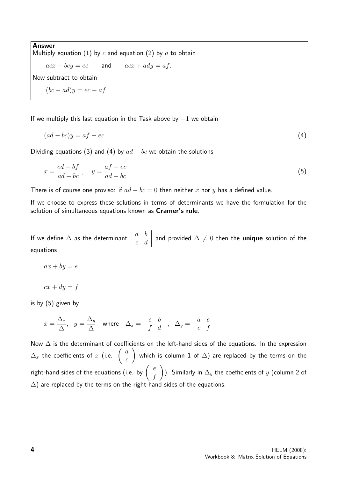Answer Multiply equation (1) by  $c$  and equation (2) by  $a$  to obtain  $acx + bcy = ec$  and  $acx + ady = af$ . Now subtract to obtain  $(bc - ad)y = ec - af$ 

If we multiply this last equation in the Task above by  $-1$  we obtain

$$
(ad - bc)y = af - ec \tag{4}
$$

Dividing equations (3) and (4) by  $ad - bc$  we obtain the solutions

$$
x = \frac{ed - bf}{ad - bc} , \quad y = \frac{af - ec}{ad - bc}
$$
 (5)

There is of course one proviso: if  $ad - bc = 0$  then neither x nor y has a defined value.

If we choose to express these solutions in terms of determinants we have the formulation for the solution of simultaneous equations known as Cramer's rule.

If we define  $\Delta$  as the determinant a b c d and provided  $\Delta \neq 0$  then the unique solution of the equations

 $ax + by = e$ 

 $cx + dy = f$ 

is by (5) given by

$$
x = \frac{\Delta_x}{\Delta}, \quad y = \frac{\Delta_y}{\Delta} \quad \text{where} \quad \Delta_x = \begin{vmatrix} e & b \\ f & d \end{vmatrix}, \quad \Delta_y = \begin{vmatrix} a & e \\ c & f \end{vmatrix}
$$

Now  $\Delta$  is the determinant of coefficients on the left-hand sides of the equations. In the expression  $\Delta_x$  the coefficients of  $x$  (i.e.  $\begin{pmatrix} a & b \\ c & d \end{pmatrix}$  $\mathcal{C}_{0}^{(n)}$  $\setminus$ which is column  $1$  of  $\Delta)$  are replaced by the terms on the right-hand sides of the equations (i.e. by  $\left( \begin{array}{cc} e \ e \end{array} \right)$ f  $\setminus$ ). Similarly in  $\Delta_y$  the coefficients of  $y$  (column 2 of  $\Delta$ ) are replaced by the terms on the right-hand sides of the equations.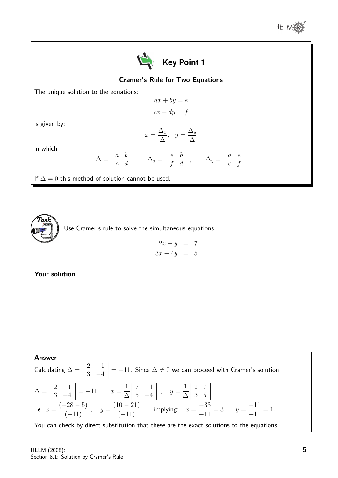



#### Cramer's Rule for Two Equations

The unique solution to the equations:

$$
ax + by = e
$$

$$
cx + dy = f
$$

is given by:

$$
x = \frac{\Delta_x}{\Delta}, \ \ y = \frac{\Delta_y}{\Delta}
$$

in which

$$
\Delta = \begin{vmatrix} a & b \\ c & d \end{vmatrix} \qquad \Delta_x = \begin{vmatrix} e & b \\ f & d \end{vmatrix}, \qquad \Delta_y = \begin{vmatrix} a & e \\ c & f \end{vmatrix}
$$

If  $\Delta = 0$  this method of solution cannot be used.



Use Cramer's rule to solve the simultaneous equations

 $2x + y = 7$  $3x - 4y = 5$ 

#### Your solution Answer Calculating  $\Delta =$  $\begin{array}{c} \begin{array}{c} \begin{array}{c} \end{array} \\ \begin{array}{c} \end{array} \end{array} \end{array}$ 2 1 3 −4  $\Big| = -11$ . Since  $\Delta \neq 0$  we can proceed with Cramer's solution.  $\Delta =$  $\begin{array}{c} \begin{array}{c} \begin{array}{c} \end{array} \\ \begin{array}{c} \end{array} \end{array} \end{array}$ 2 1 3 −4  $\Big| = -11$   $x = \frac{1}{\Delta}$ ∆  $\begin{array}{c} \begin{array}{c} \begin{array}{c} \end{array} \\ \begin{array}{c} \end{array} \end{array} \end{array}$ 7 1  $5 -4$   $, \quad y =$ 1 ∆ 2 7 3 5 i.e.  $x =$  $(-28-5)$  $\frac{20}{(-11)}$ ,  $y =$  $(10 - 21)$  $\frac{(-11)}{(-11)}$  implying:  $x =$ −33 −11  $= 3, y =$ −11 −11  $= 1.$ You can check by direct substitution that these are the exact solutions to the equations.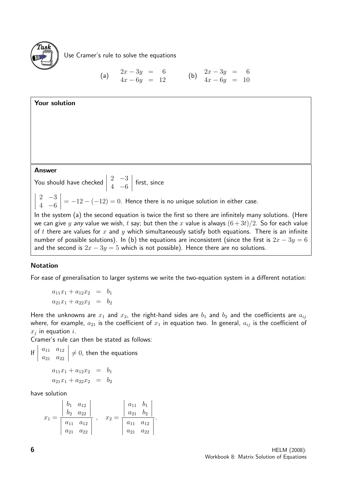

Use Cramer's rule to solve the equations

(a) 
$$
2x-3y = 6 \n4x-6y = 12
$$
 (b) 
$$
2x-3y = 6 \n4x-6y = 10
$$



#### Notation

For ease of generalisation to larger systems we write the two-equation system in a different notation:

 $a_{11}x_1 + a_{12}x_2 = b_1$  $a_{21}x_1 + a_{22}x_2 = b_2$ 

Here the unknowns are  $x_1$  and  $x_2$ , the right-hand sides are  $b_1$  and  $b_2$  and the coefficients are  $a_{ij}$ where, for example,  $a_{21}$  is the coefficient of  $x_1$  in equation two. In general,  $a_{ij}$  is the coefficient of  $x_j$  in equation i.

Cramer's rule can then be stated as follows:

If 
$$
\begin{vmatrix} a_{11} & a_{12} \\ a_{21} & a_{22} \end{vmatrix} \neq 0
$$
, then the equations  

$$
a_{11}x_1 + a_{12}x_2 = b_1
$$

$$
a_{21}x_1 + a_{22}x_2 = b_2
$$

have solution

$$
x_1 = \frac{\begin{vmatrix} b_1 & a_{12} \\ b_2 & a_{22} \end{vmatrix}}{\begin{vmatrix} a_{11} & a_{12} \\ a_{21} & a_{22} \end{vmatrix}}, \quad x_2 = \frac{\begin{vmatrix} a_{11} & b_1 \\ a_{21} & b_2 \end{vmatrix}}{\begin{vmatrix} a_{11} & a_{12} \\ a_{21} & a_{22} \end{vmatrix}}.
$$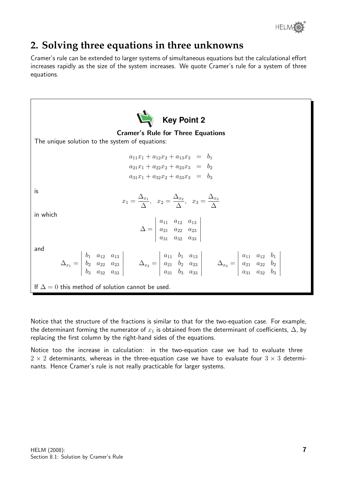

# **2. Solving three equations in three unknowns**

Cramer's rule can be extended to larger systems of simultaneous equations but the calculational effort increases rapidly as the size of the system increases. We quote Cramer's rule for a system of three equations.



Notice that the structure of the fractions is similar to that for the two-equation case. For example, the determinant forming the numerator of  $x_1$  is obtained from the determinant of coefficients,  $\Delta$ , by replacing the first column by the right-hand sides of the equations.

Notice too the increase in calculation: in the two-equation case we had to evaluate three  $2 \times 2$  determinants, whereas in the three-equation case we have to evaluate four  $3 \times 3$  determinants. Hence Cramer's rule is not really practicable for larger systems.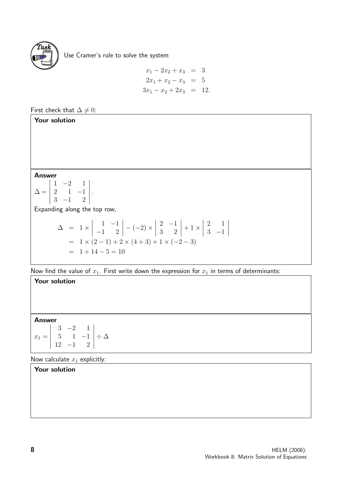

Use Cramer's rule to solve the system

$$
x_1 - 2x_2 + x_3 = 3
$$
  
\n
$$
2x_1 + x_2 - x_3 = 5
$$
  
\n
$$
3x_1 - x_2 + 2x_3 = 12.
$$

### First check that  $\Delta \neq 0$ :

#### Your solution

#### Answer

$$
\Delta = \begin{vmatrix} 1 & -2 & 1 \\ 2 & 1 & -1 \\ 3 & -1 & 2 \end{vmatrix}.
$$

Expanding along the top row,

$$
\Delta = 1 \times \begin{vmatrix} 1 & -1 \\ -1 & 2 \end{vmatrix} - (-2) \times \begin{vmatrix} 2 & -1 \\ 3 & 2 \end{vmatrix} + 1 \times \begin{vmatrix} 2 & 1 \\ 3 & -1 \end{vmatrix}
$$
  
= 1 \times (2 - 1) + 2 \times (4 + 3) + 1 \times (-2 - 3)  
= 1 + 14 - 5 = 10

Now find the value of  $x_1$ . First write down the expression for  $x_1$  in terms of determinants:

#### Your solution

#### Answer

|                                                                             | $3 -2 1$ |  |
|-----------------------------------------------------------------------------|----------|--|
| $x_1 = \begin{vmatrix} 5 & 1 & -1 \\ 12 & -1 & 2 \end{vmatrix} \div \Delta$ |          |  |
|                                                                             |          |  |

Now calculate  $x_1$  explicitly:

#### Your solution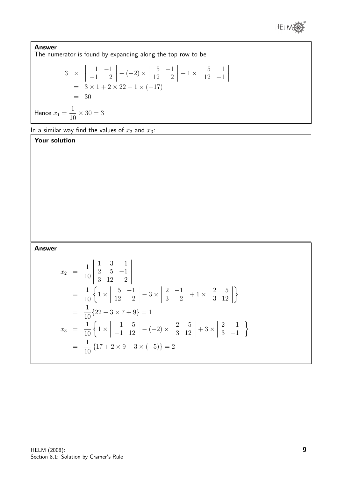

 $\begin{array}{c} \begin{array}{c} \begin{array}{c} \end{array} \\ \begin{array}{c} \end{array} \end{array} \end{array}$ 

Answer The numerator is found by expanding along the top row to be 3 ×  $\begin{array}{c} \begin{array}{c} \begin{array}{c} \end{array} \\ \begin{array}{c} \end{array} \end{array} \end{array}$ 1 −1  $-1$  2  $\vert - (-2) \times$  $\begin{array}{c} \begin{array}{c} \begin{array}{c} \end{array} \\ \begin{array}{c} \end{array} \end{array} \end{array}$  $5 -1$ 12 2  $\begin{array}{c} \begin{array}{c} \begin{array}{c} \end{array} \\ \begin{array}{c} \end{array} \end{array} \end{array}$  $+1\times$  $\begin{array}{c} \begin{array}{c} \begin{array}{c} \end{array} \\ \begin{array}{c} \end{array} \end{array} \end{array}$ 5 1 12 −1  $= 3 \times 1 + 2 \times 22 + 1 \times (-17)$  $= 30$ 

Hence  $x_1 =$ 1 10  $\times$  30  $=3$ 

In a similar way find the values of  $x_2$  and  $x_3$ :

Your solution

#### Answer

$$
x_2 = \frac{1}{10} \begin{vmatrix} 1 & 3 & 1 \\ 2 & 5 & -1 \\ 3 & 12 & 2 \end{vmatrix}
$$
  
=  $\frac{1}{10} \left\{ 1 \times \begin{vmatrix} 5 & -1 \\ 12 & 2 \end{vmatrix} - 3 \times \begin{vmatrix} 2 & -1 \\ 3 & 2 \end{vmatrix} + 1 \times \begin{vmatrix} 2 & 5 \\ 3 & 12 \end{vmatrix} \right\}$   
=  $\frac{1}{10} \{22 - 3 \times 7 + 9\} = 1$   

$$
x_3 = \frac{1}{10} \left\{ 1 \times \begin{vmatrix} 1 & 5 \\ -1 & 12 \end{vmatrix} - (-2) \times \begin{vmatrix} 2 & 5 \\ 3 & 12 \end{vmatrix} + 3 \times \begin{vmatrix} 2 & 1 \\ 3 & -1 \end{vmatrix} \right\}
$$
  
=  $\frac{1}{10} \{17 + 2 \times 9 + 3 \times (-5)\} = 2$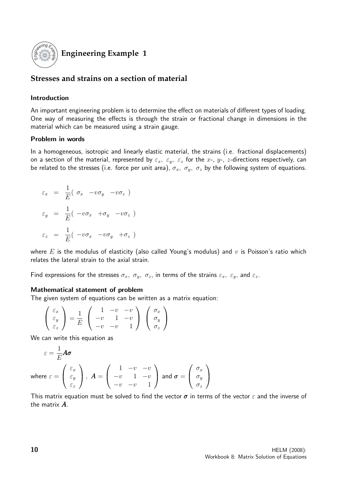

### **Engineering Example 1**

#### **Stresses and strains on a section of material**

#### Introduction

An important engineering problem is to determine the effect on materials of different types of loading. One way of measuring the effects is through the strain or fractional change in dimensions in the material which can be measured using a strain gauge.

#### Problem in words

In a homogeneous, isotropic and linearly elastic material, the strains (i.e. fractional displacements) on a section of the material, represented by  $\varepsilon_x$ ,  $\varepsilon_y$ ,  $\varepsilon_z$  for the x-, y-, z-directions respectively, can be related to the stresses (i.e. force per unit area),  $\sigma_x$ ,  $\sigma_y$ ,  $\sigma_z$  by the following system of equations.

$$
\varepsilon_x = \frac{1}{E} (\sigma_x - v\sigma_y - v\sigma_z)
$$
  

$$
\varepsilon_y = \frac{1}{E} (-v\sigma_x + \sigma_y - v\sigma_z)
$$
  

$$
\varepsilon_z = \frac{1}{E} (-v\sigma_x - v\sigma_y + \sigma_z)
$$

where  $E$  is the modulus of elasticity (also called Young's modulus) and  $v$  is Poisson's ratio which relates the lateral strain to the axial strain.

Find expressions for the stresses  $\sigma_x$ ,  $\sigma_y$ ,  $\sigma_z$ , in terms of the strains  $\varepsilon_x$ ,  $\varepsilon_y$ , and  $\varepsilon_z$ .

#### Mathematical statement of problem

The given system of equations can be written as a matrix equation:

$$
\begin{pmatrix} \varepsilon_x \\ \varepsilon_y \\ \varepsilon_z \end{pmatrix} = \frac{1}{E} \begin{pmatrix} 1 & -v & -v \\ -v & 1 & -v \\ -v & -v & 1 \end{pmatrix} \begin{pmatrix} \sigma_x \\ \sigma_y \\ \sigma_z \end{pmatrix}
$$

We can write this equation as

$$
\varepsilon = \frac{1}{E} A \sigma
$$
  
where  $\varepsilon = \begin{pmatrix} \varepsilon_x \\ \varepsilon_y \\ \varepsilon_z \end{pmatrix}$ ,  $A = \begin{pmatrix} 1 & -v & -v \\ -v & 1 & -v \\ -v & -v & 1 \end{pmatrix}$  and  $\sigma = \begin{pmatrix} \sigma_x \\ \sigma_y \\ \sigma_z \end{pmatrix}$ 

This matrix equation must be solved to find the vector  $\sigma$  in terms of the vector  $\varepsilon$  and the inverse of the matrix A.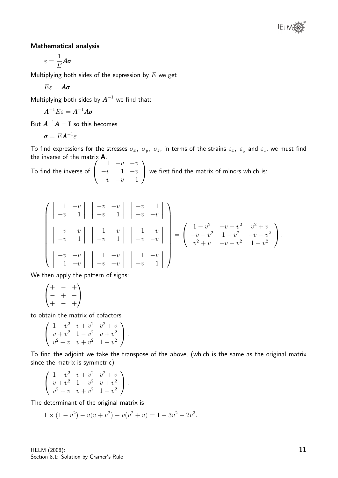

#### Mathematical analysis

$$
\varepsilon=\frac{1}{E}A\pmb{\sigma}
$$

Multiplying both sides of the expression by  $E$  we get

$$
E\varepsilon = A\pmb{\sigma}
$$

Multiplying both sides by  $A^{-1}$  we find that:

$$
\boldsymbol{A}^{-1}E\varepsilon=\boldsymbol{A}^{-1}\boldsymbol{A}\boldsymbol{\sigma}
$$

But  $A^{-1}A = I$  so this becomes

$$
\sigma = EA^{-1}\varepsilon
$$

To find expressions for the stresses  $\sigma_x$ ,  $\sigma_y$ ,  $\sigma_z$ , in terms of the strains  $\varepsilon_x$ ,  $\varepsilon_y$  and  $\varepsilon_z$ , we must find the inverse of the matrix A.

To find the inverse of  $\sqrt{ }$  $\overline{1}$ 1  $-v$   $-v$  $-v$  1  $-v$  $-v$  1  $\setminus$ we first find the matrix of minors which is:

$$
\begin{pmatrix}\n\begin{vmatrix}\n1 & -v & \vert & \vert & -v & -v \\
-v & 1 & \vert & \vert & -v & 1\n\end{vmatrix} & \begin{vmatrix}\n-v & -v & \vert \\
-v & 1 & \vert & \vert & -v\n\end{vmatrix} & \begin{vmatrix}\n1 & -v & \vert \\
-v & -v & \vert \\
-v & 1 & \vert & \vert & -v\n\end{vmatrix} & \begin{vmatrix}\n1 & -v & \vert \\
-v & -v & \vert \\
-v & -v & \vert & \vert\n\end{vmatrix} = \begin{pmatrix}\n1-v^2 & -v-v^2 & v^2+v \\
-v-v^2 & 1-v^2 & -v-v^2 \\
v^2+v & -v-v^2 & 1-v^2\n\end{pmatrix}.
$$

We then apply the pattern of signs:

$$
\begin{pmatrix} + & - & + \\ - & + & - \\ + & - & + \end{pmatrix}
$$

to obtain the matrix of cofactors

$$
\left(\begin{array}{ccc} 1-v^2 & v+v^2 & v^2+v \\ v+v^2 & 1-v^2 & v+v^2 \\ v^2+v & v+v^2 & 1-v^2 \end{array}\right).
$$

To find the adjoint we take the transpose of the above, (which is the same as the original matrix since the matrix is symmetric)

$$
\left(\begin{array}{ccc} 1-v^2 & v+v^2 & v^2+v \\ v+v^2 & 1-v^2 & v+v^2 \\ v^2+v & v+v^2 & 1-v^2 \end{array}\right).
$$

The determinant of the original matrix is

$$
1 \times (1 - v^2) - v(v + v^2) - v(v^2 + v) = 1 - 3v^2 - 2v^3.
$$